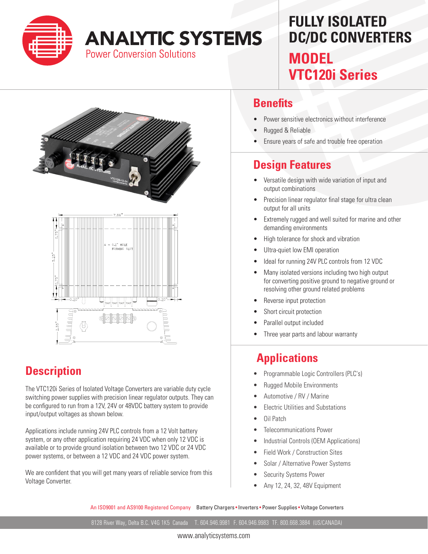

# **ANALYTIC SYSTEMS**

**Power Conversion Solutions** 

## **FULLY ISOLATED DC/DC CONVERTERS MODEL VTC120i Series**



### **Description**

The VTC120i Series of Isolated Voltage Converters are variable duty cycle switching power supplies with precision linear regulator outputs. They can be configured to run from a 12V, 24V or 48VDC battery system to provide input/output voltages as shown below.

Applications include running 24V PLC controls from a 12 Volt battery system, or any other application requiring 24 VDC when only 12 VDC is available or to provide ground isolation between two 12 VDC or 24 VDC power systems, or between a 12 VDC and 24 VDC power system.

We are confident that you will get many years of reliable service from this Voltage Converter.

#### **Benefits**

- Power sensitive electronics without interference
- Rugged & Reliable
- Ensure years of safe and trouble free operation

#### **Design Features**

- Versatile design with wide variation of input and output combinations
- Precision linear regulator final stage for ultra clean output for all units
- Extremely rugged and well suited for marine and other demanding environments
- High tolerance for shock and vibration
- Ultra-quiet low EMI operation
- Ideal for running 24V PLC controls from 12 VDC
- Many isolated versions including two high output for converting positive ground to negative ground or resolving other ground related problems
- Reverse input protection
- Short circuit protection
- Parallel output included
- Three year parts and labour warranty

#### **Applications**

- Programmable Logic Controllers (PLC's)
- Rugged Mobile Environments
- Automotive / RV / Marine
- Electric Utilities and Substations
- Oil Patch
- Telecommunications Power
- Industrial Controls (OEM Applications)
- Field Work / Construction Sites
- Solar / Alternative Power Systems
- Security Systems Power
- Any 12, 24, 32, 48V Equipment

An ISO9001 and AS9100 Registered Company Battery Chargers • Inverters • Power Supplies • Voltage Converters